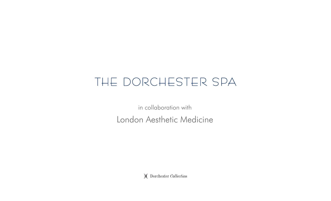# THE DORCHESTER SPA

in collaboration with London Aesthetic Medicine

)(Dorchester Collection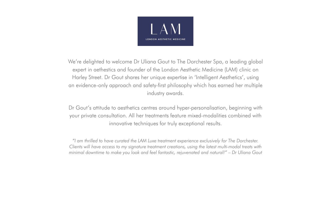

We're delighted to welcome Dr Uliana Gout to The Dorchester Spa, a leading global expert in aethestics and founder of the London Aesthetic Medicine (LAM) clinic on Harley Street. Dr Gout shares her unique expertise in 'Intelligent Aesthetics', using an evidence-only approach and safety-first philosophy which has earned her multiple industry awards.

Dr Gout's attitude to aesthetics centres around hyper-personalisation, beginning with your private consultation. All her treatments feature mixed-modalities combined with innovative techniques for truly exceptional results.

*"I am thrilled to have curated the LAM Luxe treatment experience exclusively for The Dorchester. Clients will have access to my signature treatment creations, using the latest multi-modal treats with minimal downtime to make you look and feel fantastic, rejuvenated and natural!" – Dr Uliana Gout*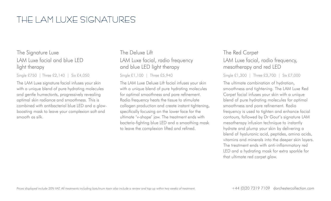# THE LAM LUXE SIGNATURES

# The Signature Luxe LAM Luxe facial and blue LED light therapy

Single £750 | Three £2,140 | Six £4,050

The LAM Luxe signature facial infuses your skin with a unique blend of pure hydrating molecules and gentle humectants, progressively revealing optimal skin radiance and smoothness. This is combined with antibacterial blue LED and a glowboosting mask to leave your complexion soft and smooth as silk.

# The Deluxe Lift LAM Luxe facial, radio frequency and blue LED light therapy

Single £1,100 | Three £5,940

The LAM Luxe Deluxe Lift facial infuses your skin with a unique blend of pure hydrating molecules for optimal smoothness and pore refinement. Radio frequency heats the tissue to stimulate collagen production and create instant tightening, specifically focusing on the lower face for the ultimate 'v-shape' jaw. The treatment ends with bacteria-fighting blue LED and a smoothing mask to leave the complexion lifted and refined.

### The Red Carpet LAM Luxe facial, radio frequency, mesotherapy and red LED

Single £1,300 | Three £3,700 | Six £7,000

The ultimate combination of hydration, smoothness and tightening. The LAM Luxe Red Carpet facial infuses your skin with a unique blend of pure hydrating molecules for optimal smoothness and pore refinement. Radio frequency is used to tighten and enhance facial contours, followed by Dr Gout's signature LAM mesotherapy infusion technique to instantly hydrate and plump your skin by delivering a blend of hyaluronic acid, peptides, amino acids, vitamins and minerals into the deeper skin layers. The treatment ends with anti-inflammatory red LED and a hydrating mask for extra sparkle for that ultimate red carpet glow.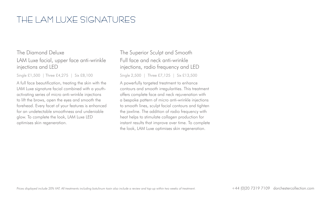# THE LAM LUXE SIGNATURES

### The Diamond Deluxe LAM Luxe facial, upper face anti-wrinkle injections and LED

Single £1,500 | Three £4,275 | Six £8,100

A full face beautification, treating the skin with the LAM Luxe signature facial combined with a youthactivating series of micro anti-wrinkle injections to lift the brows, open the eyes and smooth the forehead. Every facet of your features is enhanced for an undetectable smoothness and undeniable glow. To complete the look, LAM Luxe LED optimises skin regeneration.

# The Superior Sculpt and Smooth Full face and neck anti-wrinkle injections, radio frequency and LED

Single 2,500 | Three £7,125 | Six £13,500

A powerfully targeted treatment to enhance contours and smooth irregularities. This treatment offers complete face and neck rejuvenation with a bespoke pattern of micro anti-wrinkle injections to smooth lines, sculpt facial contours and tighten the jawline. The addition of radio frequency with heat helps to stimulate collagen production for instant results that improve over time. To complete the look, LAM Luxe optimises skin regeneration.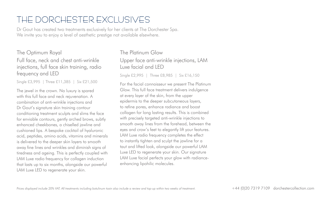# THE DORCHESTER EXCLUSIVES

Dr Gout has created two treatments exclusively for her clients at The Dorchester Spa. We invite you to enjoy a level of aesthetic prestige not available elsewhere.

#### The Optimum Royal

Full face, neck and chest anti-wrinkle injections, full face skin training, radio frequency and LED

Single £3,995 | Three £11,385 | Six £21,500

The jewel in the crown. No luxury is spared with this full face and neck rejuvenation. A combination of anti-wrinkle injections and Dr Gout's signature skin training contour conditioning treatment sculpts and slims the face for enviable contours, gently arched brows, subtly enhanced cheekbones, a chiselled jawline and cushioned lips. A bespoke cocktail of hyaluronic acid, peptides, amino acids, vitamins and minerals is delivered to the deeper skin layers to smooth away fine lines and wrinkles and diminish signs of tiredness and ageing. This is perfectly coupled with LAM Luxe radio frequency for collagen induction that lasts up to six months, alongside our powerful LAM Luxe LED to regenerate your skin.

# The Platinum Glow Upper face anti-wrinkle injections, LAM Luxe facial and LED

Single £2,995 | Three £8,985 | Six £16,150

For the facial connoisseur we present The Platinum Glow. This full face treatment delivers indulgence at every layer of the skin, from the upper epidermis to the deeper subcutaneous layers, to refine pores, enhance radiance and boost collagen for long lasting results. This is combined with precisely targeted anti-wrinkle injections to smooth away lines from the forehead, between the eyes and crow's feet to elegantly lift your features. LAM Luxe radio frequency completes the effect to instantly tighten and sculpt the jawline for a taut and lifted look, alongside our powerful LAM Luxe LED to regenerate your skin. Our signature LAM Luxe facial perfects your glow with radianceenhancing lipohilic molecules.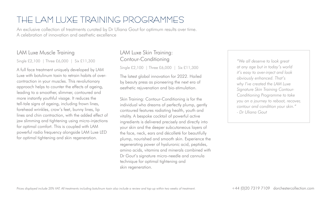# THE LAM LUXE TRAINING PROGRAMMES

An exclusive collection of treatments curated by Dr Uliana Gout for optimum results over time. A celebration of innovation and aesthetic excellence

### LAM Luxe Muscle Training

Single £2,100 | Three £6,000 | Six £11,300

A full face treatment uniquely developed by LAM Luxe with botulinum toxin to retrain habits of overcontraction in your muscles. This revolutionary approach helps to counter the effects of ageing, leading to a smoother, slimmer, contoured and more instantly youthful visage. It reduces the tell-tale signs of ageing, including frown lines, forehead wrinkles, crow's feet, bunny lines, lip lines and chin contraction, with the added effect of jaw slimming and tightening using micro-injections for optimal comfort. This is coupled with LAM powerful radio frequency alongside LAM Luxe LED for optimal tightening and skin regeneration.

# LAM Luxe Skin Training: Contour-Conditioning

Single £2,100 | Three £6,000 | Six £11,300

The latest global innovation for 2022. Hailed by beauty press as pioneering the next era of aesthetic rejuvenation and bio-stimulation.

Skin Training: Contour-Conditioning is for the individual who dreams of perfectly plump, gently contoured features radiating health, youth and vitality. A bespoke cocktail of powerful active ingredients is delivered precisely and directly into your skin and the deeper subcutaneous layers of the face, neck, ears and décolleté for beautifully plump, nourished and smooth skin. Experience the regenerating power of hyaluronic acid, peptides, amino acids, vitamins and minerals combined with Dr Gout's signature micro-needle and cannula technique for optimal tightening and skin regeneration.

*"We all deserve to look great at any age but in today's world it's easy to over-inject and look obviously enhanced. That's why I've created the LAM Luxe Signature Skin Training Contour-Conditioning Programme to take you on a journey to reboot, recover, contour and condition your skin." - Dr Uliana Gout*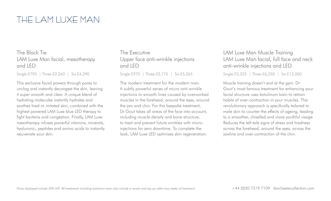# THE LAM LUXE MAN

### The Black Tie LAM Luxe Man facial, mesotherapy and LED

Single £795 | Three £2,260 | Six £4,290

This exclusive facial powers through pores to unclog and instantly decongest the skin, leaving it super smooth and clear. A unique blend of hydrating molecules instantly hydrates and soothes tired or irritated skin, combined with the highest powered LAM Luxe blue LED therapy to fight bacteria and congestion. Finally, LAM Luxe mesotherapy infuses powerful vitamins, minerals, hyaluronic, peptides and amino acids to instantly rejuvenate your skin.

The Executive Upper face anti-wrinkle injections and LED

Single £975 | Three £2,775 | Six £5,265

The modern treatment for the modern man. A subtly powerful series of micro anti-wrinkle injections to smooth lines caused by overworked muscles in the forehead, around the eyes, around the jaw and chin. For this bespoke treatment, Dr Gout takes all areas of the face into account, including muscle density and bone structure, to treat and prevent future wrinkles with microinjections for zero downtime. To complete the look, LAM Luxe LED optimises skin regeneration.

#### LAM Luxe Man Muscle Training LAM Luxe Man facial, full face and neck anti-wrinkle injections and LED

Single £2,225 | Three £6,250 | Six £12,000

Muscle training doesn't end at the gym. Dr Gout's most famous treatment for enhancing your facial structure uses botulinum toxin to retrain habits of over-contraction in your muscles. This revolutionary approach is specifically tailored to male skin to counter the effects of ageing, leading to a smoother, chiselled and more youthful visage. Reduces the tell-tale signs of stress and tiredness across the forehead, around the eyes, across the jawline and over-contraction of the chin.